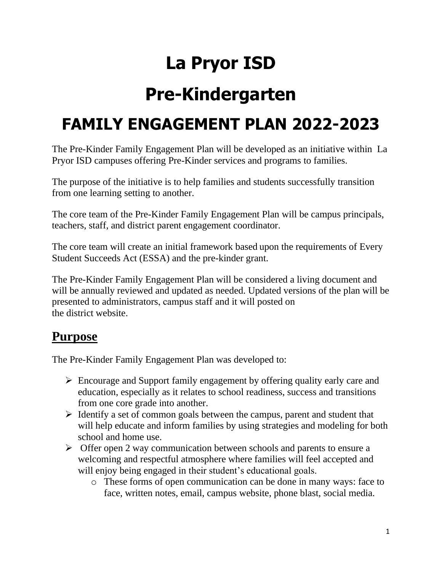## **La Pryor ISD**

# **Pre-Kindergarten**

### **FAMILY ENGAGEMENT PLAN 2022-2023**

The Pre-Kinder Family Engagement Plan will be developed as an initiative within La Pryor ISD campuses offering Pre-Kinder services and programs to families.

The purpose of the initiative is to help families and students successfully transition from one learning setting to another.

The core team of the Pre-Kinder Family Engagement Plan will be campus principals, teachers, staff, and district parent engagement coordinator.

The core team will create an initial framework based upon the requirements of Every Student Succeeds Act (ESSA) and the pre-kinder grant.

The Pre-Kinder Family Engagement Plan will be considered a living document and will be annually reviewed and updated as needed. Updated versions of the plan will be presented to administrators, campus staff and it will posted on the district website.

### **Purpose**

The Pre-Kinder Family Engagement Plan was developed to:

- ➢ Encourage and Support family engagement by offering quality early care and education, especially as it relates to school readiness, success and transitions from one core grade into another.
- $\triangleright$  Identify a set of common goals between the campus, parent and student that will help educate and inform families by using strategies and modeling for both school and home use.
- ➢ Offer open 2 way communication between schools and parents to ensure a welcoming and respectful atmosphere where families will feel accepted and will enjoy being engaged in their student's educational goals.
	- o These forms of open communication can be done in many ways: face to face, written notes, email, campus website, phone blast, social media.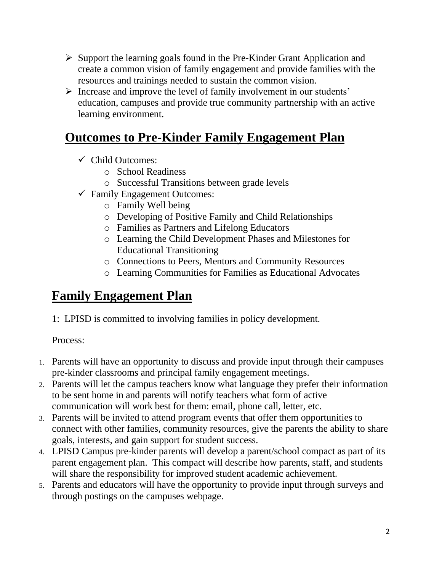- ➢ Support the learning goals found in the Pre-Kinder Grant Application and create a common vision of family engagement and provide families with the resources and trainings needed to sustain the common vision.
- ➢ Increase and improve the level of family involvement in our students' education, campuses and provide true community partnership with an active learning environment.

#### **Outcomes to Pre-Kinder Family Engagement Plan**

- $\checkmark$  Child Outcomes:
	- o School Readiness
	- o Successful Transitions between grade levels
- $\checkmark$  Family Engagement Outcomes:
	- o Family Well being
	- o Developing of Positive Family and Child Relationships
	- o Families as Partners and Lifelong Educators
	- o Learning the Child Development Phases and Milestones for Educational Transitioning
	- o Connections to Peers, Mentors and Community Resources
	- o Learning Communities for Families as Educational Advocates

### **Family Engagement Plan**

1: LPISD is committed to involving families in policy development.

- 1. Parents will have an opportunity to discuss and provide input through their campuses pre-kinder classrooms and principal family engagement meetings.
- 2. Parents will let the campus teachers know what language they prefer their information to be sent home in and parents will notify teachers what form of active communication will work best for them: email, phone call, letter, etc.
- 3. Parents will be invited to attend program events that offer them opportunities to connect with other families, community resources, give the parents the ability to share goals, interests, and gain support for student success.
- 4. LPISD Campus pre-kinder parents will develop a parent/school compact as part of its parent engagement plan. This compact will describe how parents, staff, and students will share the responsibility for improved student academic achievement.
- 5. Parents and educators will have the opportunity to provide input through surveys and through postings on the campuses webpage.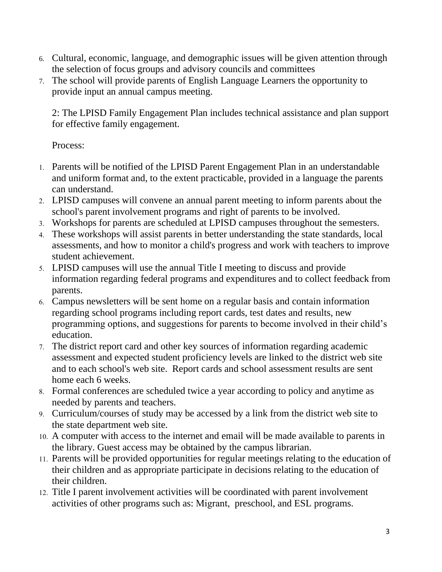- 6. Cultural, economic, language, and demographic issues will be given attention through the selection of focus groups and advisory councils and committees
- 7. The school will provide parents of English Language Learners the opportunity to provide input an annual campus meeting.

2: The LPISD Family Engagement Plan includes technical assistance and plan support for effective family engagement.

- 1. Parents will be notified of the LPISD Parent Engagement Plan in an understandable and uniform format and, to the extent practicable, provided in a language the parents can understand.
- 2. LPISD campuses will convene an annual parent meeting to inform parents about the school's parent involvement programs and right of parents to be involved.
- 3. Workshops for parents are scheduled at LPISD campuses throughout the semesters.
- 4. These workshops will assist parents in better understanding the state standards, local assessments, and how to monitor a child's progress and work with teachers to improve student achievement.
- 5. LPISD campuses will use the annual Title I meeting to discuss and provide information regarding federal programs and expenditures and to collect feedback from parents.
- 6. Campus newsletters will be sent home on a regular basis and contain information regarding school programs including report cards, test dates and results, new programming options, and suggestions for parents to become involved in their child's education.
- 7. The district report card and other key sources of information regarding academic assessment and expected student proficiency levels are linked to the district web site and to each school's web site. Report cards and school assessment results are sent home each 6 weeks.
- 8. Formal conferences are scheduled twice a year according to policy and anytime as needed by parents and teachers.
- 9. Curriculum/courses of study may be accessed by a link from the district web site to the state department web site.
- 10. A computer with access to the internet and email will be made available to parents in the library. Guest access may be obtained by the campus librarian.
- 11. Parents will be provided opportunities for regular meetings relating to the education of their children and as appropriate participate in decisions relating to the education of their children.
- 12. Title I parent involvement activities will be coordinated with parent involvement activities of other programs such as: Migrant, preschool, and ESL programs.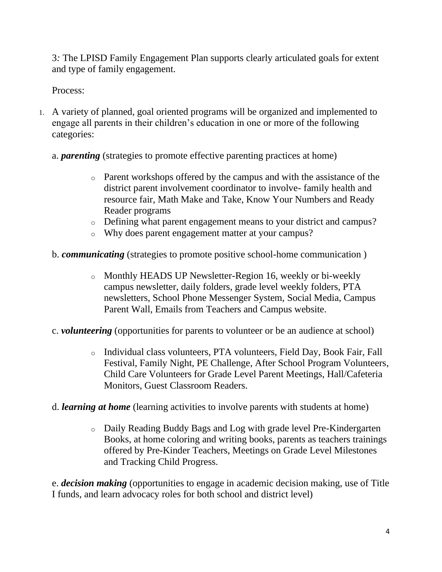3*:* The LPISD Family Engagement Plan supports clearly articulated goals for extent and type of family engagement.

Process:

- 1. A variety of planned, goal oriented programs will be organized and implemented to engage all parents in their children's education in one or more of the following categories:
	- a. *parenting* (strategies to promote effective parenting practices at home)
		- o Parent workshops offered by the campus and with the assistance of the district parent involvement coordinator to involve- family health and resource fair, Math Make and Take, Know Your Numbers and Ready Reader programs
		- o Defining what parent engagement means to your district and campus?
		- o Why does parent engagement matter at your campus?
	- b. *communicating* (strategies to promote positive school-home communication )
		- o Monthly HEADS UP Newsletter-Region 16, weekly or bi-weekly campus newsletter, daily folders, grade level weekly folders, PTA newsletters, School Phone Messenger System, Social Media, Campus Parent Wall, Emails from Teachers and Campus website.
	- c. *volunteering* (opportunities for parents to volunteer or be an audience at school)
		- o Individual class volunteers, PTA volunteers, Field Day, Book Fair, Fall Festival, Family Night, PE Challenge, After School Program Volunteers, Child Care Volunteers for Grade Level Parent Meetings, Hall/Cafeteria Monitors, Guest Classroom Readers.
	- d. *learning at home* (learning activities to involve parents with students at home)
		- o Daily Reading Buddy Bags and Log with grade level Pre-Kindergarten Books, at home coloring and writing books, parents as teachers trainings offered by Pre-Kinder Teachers, Meetings on Grade Level Milestones and Tracking Child Progress.

e. *decision making* (opportunities to engage in academic decision making, use of Title I funds, and learn advocacy roles for both school and district level)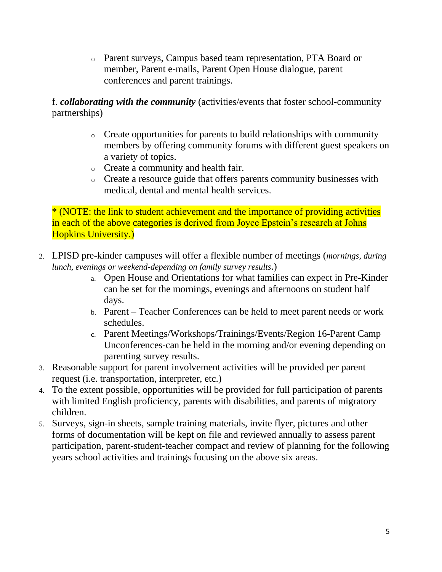o Parent surveys, Campus based team representation, PTA Board or member, Parent e-mails, Parent Open House dialogue, parent conferences and parent trainings.

f. *collaborating with the community* (activities/events that foster school-community partnerships)

- o Create opportunities for parents to build relationships with community members by offering community forums with different guest speakers on a variety of topics.
- o Create a community and health fair.
- o Create a resource guide that offers parents community businesses with medical, dental and mental health services.

\* (NOTE: the link to student achievement and the importance of providing activities in each of the above categories is derived from Joyce Epstein's research at Johns Hopkins University.)

- 2. LPISD pre-kinder campuses will offer a flexible number of meetings (*mornings, during lunch, evenings or weekend-depending on family survey results*.)
	- a. Open House and Orientations for what families can expect in Pre-Kinder can be set for the mornings, evenings and afternoons on student half days.
	- b. Parent Teacher Conferences can be held to meet parent needs or work schedules.
	- c. Parent Meetings/Workshops/Trainings/Events/Region 16-Parent Camp Unconferences-can be held in the morning and/or evening depending on parenting survey results.
- 3. Reasonable support for parent involvement activities will be provided per parent request (i.e. transportation, interpreter, etc.)
- 4. To the extent possible, opportunities will be provided for full participation of parents with limited English proficiency, parents with disabilities, and parents of migratory children.
- 5. Surveys, sign-in sheets, sample training materials, invite flyer, pictures and other forms of documentation will be kept on file and reviewed annually to assess parent participation, parent-student-teacher compact and review of planning for the following years school activities and trainings focusing on the above six areas.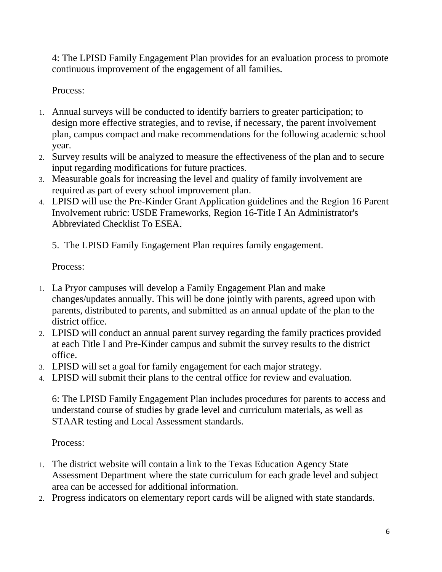4: The LPISD Family Engagement Plan provides for an evaluation process to promote continuous improvement of the engagement of all families.

Process:

- 1. Annual surveys will be conducted to identify barriers to greater participation; to design more effective strategies, and to revise, if necessary, the parent involvement plan, campus compact and make recommendations for the following academic school year.
- 2. Survey results will be analyzed to measure the effectiveness of the plan and to secure input regarding modifications for future practices.
- 3. Measurable goals for increasing the level and quality of family involvement are required as part of every school improvement plan.
- 4. LPISD will use the Pre-Kinder Grant Application guidelines and the Region 16 Parent Involvement rubric: USDE Frameworks, Region 16-Title I An Administrator's Abbreviated Checklist To ESEA.
	- 5. The LPISD Family Engagement Plan requires family engagement.

Process:

- 1. La Pryor campuses will develop a Family Engagement Plan and make changes/updates annually. This will be done jointly with parents, agreed upon with parents, distributed to parents, and submitted as an annual update of the plan to the district office.
- 2. LPISD will conduct an annual parent survey regarding the family practices provided at each Title I and Pre-Kinder campus and submit the survey results to the district office.
- 3. LPISD will set a goal for family engagement for each major strategy.
- 4. LPISD will submit their plans to the central office for review and evaluation.

6: The LPISD Family Engagement Plan includes procedures for parents to access and understand course of studies by grade level and curriculum materials, as well as STAAR testing and Local Assessment standards.

- 1. The district website will contain a link to the Texas Education Agency State Assessment Department where the state curriculum for each grade level and subject area can be accessed for additional information.
- 2. Progress indicators on elementary report cards will be aligned with state standards.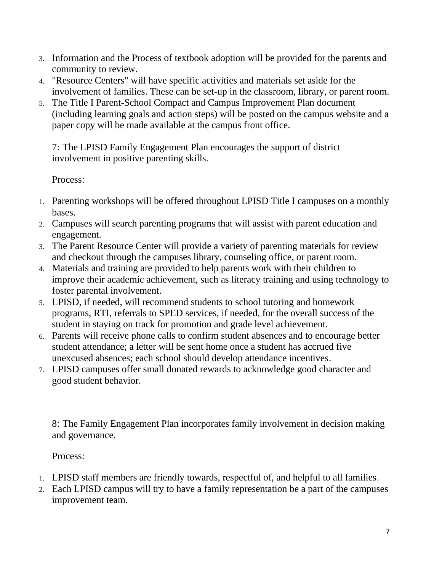- 3. Information and the Process of textbook adoption will be provided for the parents and community to review.
- 4. "Resource Centers" will have specific activities and materials set aside for the involvement of families. These can be set-up in the classroom, library, or parent room.
- 5. The Title I Parent-School Compact and Campus Improvement Plan document (including learning goals and action steps) will be posted on the campus website and a paper copy will be made available at the campus front office.

7: The LPISD Family Engagement Plan encourages the support of district involvement in positive parenting skills.

Process:

- 1. Parenting workshops will be offered throughout LPISD Title I campuses on a monthly bases.
- 2. Campuses will search parenting programs that will assist with parent education and engagement.
- 3. The Parent Resource Center will provide a variety of parenting materials for review and checkout through the campuses library, counseling office, or parent room.
- 4. Materials and training are provided to help parents work with their children to improve their academic achievement, such as literacy training and using technology to foster parental involvement.
- 5. LPISD, if needed, will recommend students to school tutoring and homework programs, RTI, referrals to SPED services, if needed, for the overall success of the student in staying on track for promotion and grade level achievement.
- 6. Parents will receive phone calls to confirm student absences and to encourage better student attendance; a letter will be sent home once a student has accrued five unexcused absences; each school should develop attendance incentives.
- 7. LPISD campuses offer small donated rewards to acknowledge good character and good student behavior.

8: The Family Engagement Plan incorporates family involvement in decision making and governance.

- 1. LPISD staff members are friendly towards, respectful of, and helpful to all families.
- 2. Each LPISD campus will try to have a family representation be a part of the campuses improvement team.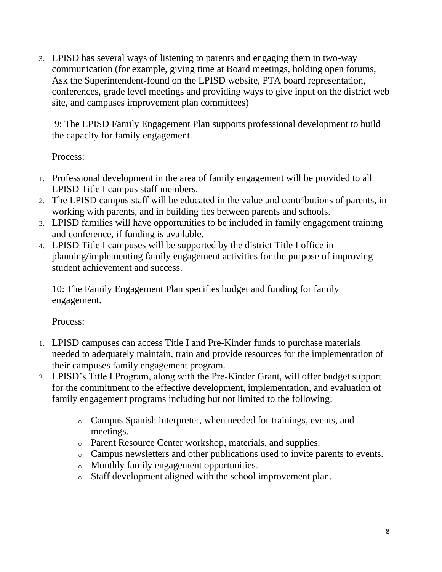3. LPISD has several ways of listening to parents and engaging them in two-way communication (for example, giving time at Board meetings, holding open forums, Ask the Superintendent-found on the LPISD website, PTA board representation, conferences, grade level meetings and providing ways to give input on the district web site, and campuses improvement plan committees)

9: The LPISD Family Engagement Plan supports professional development to build the capacity for family engagement.

Process:

- 1. Professional development in the area of family engagement will be provided to all LPISD Title I campus staff members.
- 2. The LPISD campus staff will be educated in the value and contributions of parents, in working with parents, and in building ties between parents and schools.
- 3. LPISD families will have opportunities to be included in family engagement training and conference, if funding is available.
- 4. LPISD Title I campuses will be supported by the district Title I office in planning/implementing family engagement activities for the purpose of improving student achievement and success.

10: The Family Engagement Plan specifies budget and funding for family engagement.

- 1. LPISD campuses can access Title I and Pre-Kinder funds to purchase materials needed to adequately maintain, train and provide resources for the implementation of their campuses family engagement program.
- 2. LPISD's Title I Program, along with the Pre-Kinder Grant, will offer budget support for the commitment to the effective development, implementation, and evaluation of family engagement programs including but not limited to the following:
	- o Campus Spanish interpreter, when needed for trainings, events, and meetings.
	- o Parent Resource Center workshop, materials, and supplies.
	- o Campus newsletters and other publications used to invite parents to events.
	- o Monthly family engagement opportunities.
	- o Staff development aligned with the school improvement plan.